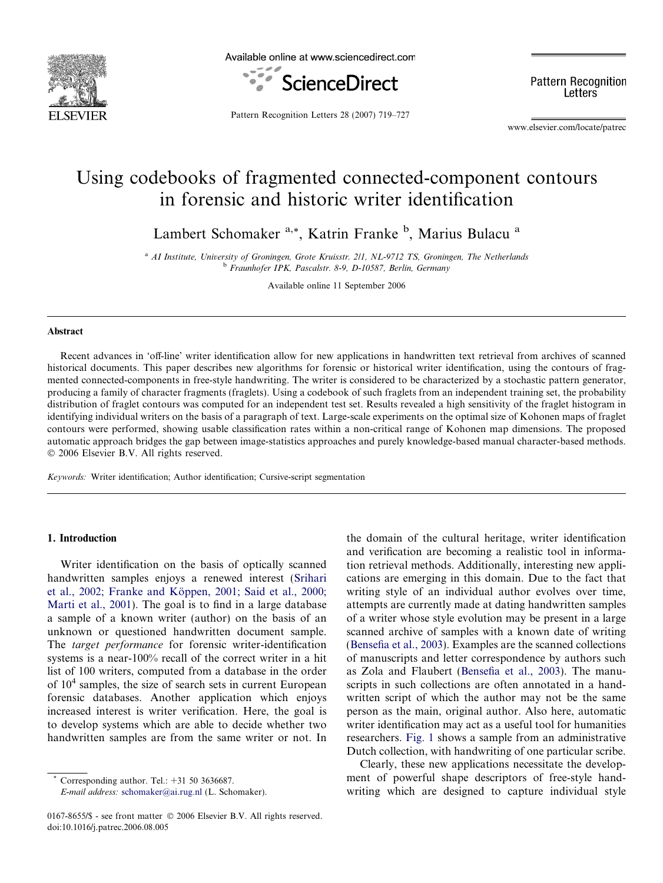

Available online at www.sciencedirect.com



**Pattern Recognition** Letters

Pattern Recognition Letters 28 (2007) 719–727

www.elsevier.com/locate/patrec

# Using codebooks of fragmented connected-component contours in forensic and historic writer identification

Lambert Schomaker<sup>a,\*</sup>, Katrin Franke<sup>b</sup>, Marius Bulacu<sup>a</sup>

<sup>a</sup> AI Institute, University of Groningen, Grote Kruisstr. 2/1, NL-9712 TS, Groningen, The Netherlands <sup>b</sup> Fraunhofer IPK, Pascalstr. 8-9, D-10587, Berlin, Germany

Available online 11 September 2006

#### Abstract

Recent advances in 'off-line' writer identification allow for new applications in handwritten text retrieval from archives of scanned historical documents. This paper describes new algorithms for forensic or historical writer identification, using the contours of fragmented connected-components in free-style handwriting. The writer is considered to be characterized by a stochastic pattern generator, producing a family of character fragments (fraglets). Using a codebook of such fraglets from an independent training set, the probability distribution of fraglet contours was computed for an independent test set. Results revealed a high sensitivity of the fraglet histogram in identifying individual writers on the basis of a paragraph of text. Large-scale experiments on the optimal size of Kohonen maps of fraglet contours were performed, showing usable classification rates within a non-critical range of Kohonen map dimensions. The proposed automatic approach bridges the gap between image-statistics approaches and purely knowledge-based manual character-based methods. © 2006 Elsevier B.V. All rights reserved.

Keywords: Writer identification; Author identification; Cursive-script segmentation

#### 1. Introduction

Writer identification on the basis of optically scanned handwritten samples enjoys a renewed interest [\(Srihari](#page-8-0) et al., 2002; Franke and Köppen, 2001; Said et al., 2000; [Marti et al., 2001](#page-8-0)). The goal is to find in a large database a sample of a known writer (author) on the basis of an unknown or questioned handwritten document sample. The target performance for forensic writer-identification systems is a near-100% recall of the correct writer in a hit list of 100 writers, computed from a database in the order of  $10<sup>4</sup>$  samples, the size of search sets in current European forensic databases. Another application which enjoys increased interest is writer verification. Here, the goal is to develop systems which are able to decide whether two handwritten samples are from the same writer or not. In

Corresponding author. Tel.:  $+31$  50 3636687.

E-mail address: [schomaker@ai.rug.nl](mailto:schomaker@ai.rug.nl) (L. Schomaker).

the domain of the cultural heritage, writer identification and verification are becoming a realistic tool in information retrieval methods. Additionally, interesting new applications are emerging in this domain. Due to the fact that writing style of an individual author evolves over time, attempts are currently made at dating handwritten samples of a writer whose style evolution may be present in a large scanned archive of samples with a known date of writing ([Bensefia et al., 2003\)](#page-7-0). Examples are the scanned collections of manuscripts and letter correspondence by authors such as Zola and Flaubert [\(Bensefia et al., 2003\)](#page-7-0). The manuscripts in such collections are often annotated in a handwritten script of which the author may not be the same person as the main, original author. Also here, automatic writer identification may act as a useful tool for humanities researchers. [Fig. 1](#page-1-0) shows a sample from an administrative Dutch collection, with handwriting of one particular scribe.

Clearly, these new applications necessitate the development of powerful shape descriptors of free-style handwriting which are designed to capture individual style

<sup>0167-8655/\$ -</sup> see front matter © 2006 Elsevier B.V. All rights reserved. doi:10.1016/j.patrec.2006.08.005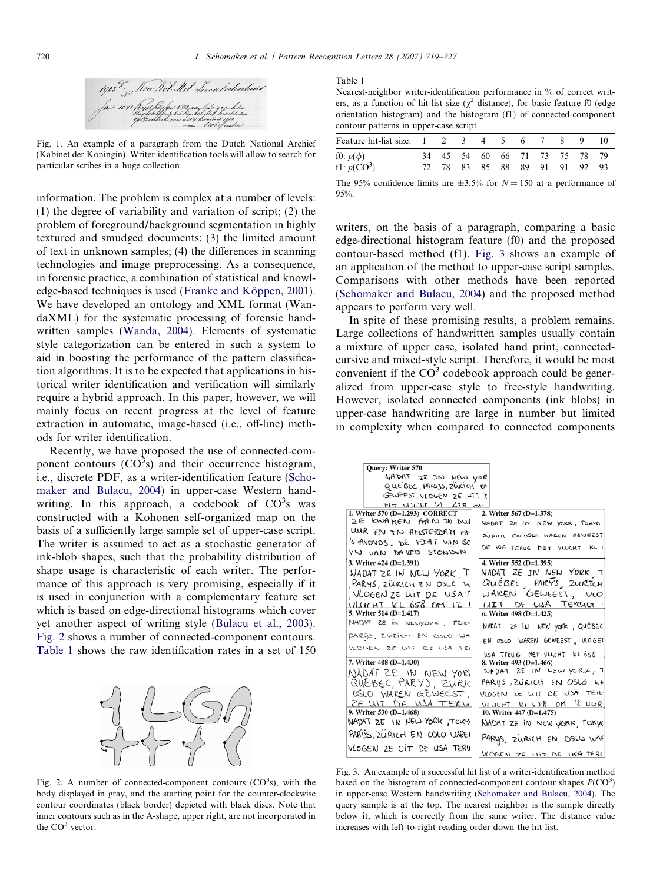<span id="page-1-0"></span>

Fig. 1. An example of a paragraph from the Dutch National Archief (Kabinet der Koningin). Writer-identification tools will allow to search for particular scribes in a huge collection.

information. The problem is complex at a number of levels: (1) the degree of variability and variation of script; (2) the problem of foreground/background segmentation in highly textured and smudged documents; (3) the limited amount of text in unknown samples; (4) the differences in scanning technologies and image preprocessing. As a consequence, in forensic practice, a combination of statistical and knowledge-based techniques is used (Franke and Köppen, 2001). We have developed an ontology and XML format (WandaXML) for the systematic processing of forensic handwritten samples ([Wanda, 2004\)](#page-8-0). Elements of systematic style categorization can be entered in such a system to aid in boosting the performance of the pattern classification algorithms. It is to be expected that applications in historical writer identification and verification will similarly require a hybrid approach. In this paper, however, we will mainly focus on recent progress at the level of feature extraction in automatic, image-based (i.e., off-line) methods for writer identification.

Recently, we have proposed the use of connected-component contours  $(CO^3s)$  and their occurrence histogram, i.e., discrete PDF, as a writer-identification feature ([Scho](#page-7-0)[maker and Bulacu, 2004\)](#page-7-0) in upper-case Western handwriting. In this approach, a codebook of  $CO<sup>3</sup>$ s was constructed with a Kohonen self-organized map on the basis of a sufficiently large sample set of upper-case script. The writer is assumed to act as a stochastic generator of ink-blob shapes, such that the probability distribution of shape usage is characteristic of each writer. The performance of this approach is very promising, especially if it is used in conjunction with a complementary feature set which is based on edge-directional histograms which cover yet another aspect of writing style ([Bulacu et al., 2003\)](#page-7-0). Fig. 2 shows a number of connected-component contours. Table 1 shows the raw identification rates in a set of 150



Fig. 2. A number of connected-component contours  $(CO<sup>3</sup>s)$ , with the body displayed in gray, and the starting point for the counter-clockwise contour coordinates (black border) depicted with black discs. Note that inner contours such as in the A-shape, upper right, are not incorporated in the  $CO<sup>3</sup>$  vector.

Table 1

Nearest-neighbor writer-identification performance in % of correct writers, as a function of hit-list size ( $\gamma^2$  distance), for basic feature f0 (edge orientation histogram) and the histogram (f1) of connected-component contour patterns in upper-case script

| Feature hit-list size: 1 2 3 4 5 6 7 8 9 10 |  |                               |  |  |  |  |
|---------------------------------------------|--|-------------------------------|--|--|--|--|
| f(0: $p(\phi)$ )                            |  | 34 45 54 60 66 71 73 75 78 79 |  |  |  |  |
| f1: $p({\rm CO}^3)$                         |  | 72 78 83 85 88 89 91 91 92 93 |  |  |  |  |
|                                             |  |                               |  |  |  |  |

The 95% confidence limits are  $\pm 3.5\%$  for  $N = 150$  at a performance of 95%.

writers, on the basis of a paragraph, comparing a basic edge-directional histogram feature (f0) and the proposed contour-based method (f1). Fig. 3 shows an example of an application of the method to upper-case script samples. Comparisons with other methods have been reported [\(Schomaker and Bulacu, 2004\)](#page-7-0) and the proposed method appears to perform very well.

In spite of these promising results, a problem remains. Large collections of handwritten samples usually contain a mixture of upper case, isolated hand print, connectedcursive and mixed-style script. Therefore, it would be most convenient if the  $CO<sup>3</sup>$  codebook approach could be generalized from upper-case style to free-style handwriting. However, isolated connected components (ink blobs) in upper-case handwriting are large in number but limited in complexity when compared to connected components

| <b>Ouery: Writer 570</b>                      |                                                      |  |  |  |  |
|-----------------------------------------------|------------------------------------------------------|--|--|--|--|
| NADAT ZE IN NEW YOR                           |                                                      |  |  |  |  |
| guésec parajs, zurich en                      |                                                      |  |  |  |  |
| GEWEEST, VLOGEN ZE UIT T                      |                                                      |  |  |  |  |
| $HF + UUCHI$ $k$ $458$ $cm$                   |                                                      |  |  |  |  |
| 1. Writer 570 (D=1.293) CORRECT               | 2. Writer 567 (D=1.378)                              |  |  |  |  |
| 2E KWAKEN AAN IN DUL                          | NADAT ZE IN NEW YORK, TOKYO                          |  |  |  |  |
| WAR EN IN AHSTERDAM OF                        | 2URICH EN OSLO WAREN GEWEEST                         |  |  |  |  |
| 'S ANONDS. DE FIAT VAN BC                     |                                                      |  |  |  |  |
| M304072 CTVAO UAL UV                          | DE USA TERUG MET VLUCHT KLI                          |  |  |  |  |
| 3. Writer 424 (D=1.391)                       | 4. Writer 552 (D=1.395)                              |  |  |  |  |
| NADAT ZE IN NEW YORK, T                       | NADAT ZE IN NEW YORK T                               |  |  |  |  |
| PARYS, ZÜRICH EN OSLO W                       | QUÉBEC, PARTS, ZURICH                                |  |  |  |  |
| , VLOGEN ZE UIT DE USAT                       | WAREN GEWEEST, VLO                                   |  |  |  |  |
| VILLICHT KL 658 OM 12 1                       | III DE USA TERUG                                     |  |  |  |  |
| 5. Writer 514 (D=1.417)                       | 6. Writer 498 (D=1.425)                              |  |  |  |  |
| NADAT ZE IN NEWYORK, TOKY                     | NADAT ZE IN NEW YORK, QUEBEC                         |  |  |  |  |
| PARIS, ZURICHI EN OSLO WA                     | EN OSLO WAREN GEWEEST, VLOGEI                        |  |  |  |  |
| VLOGEN ZE WIT DE LISA TEI                     | USA TFRUG MET VLUCHT KL 658                          |  |  |  |  |
| 7. Writer 408 (D=1.430)                       | 8. Writer 493 (D=1.466)                              |  |  |  |  |
| VYPYL SE IN NEM YORI                          | NADAT 2E IN NEW YORK, T                              |  |  |  |  |
| QUEBEC, PARYS, ZURIC                          | PARIIS , ZÜRICH EN OSLO WA                           |  |  |  |  |
|                                               | VLOGEN ZE WIT DE USA TER                             |  |  |  |  |
| OSLO WAREN GEWEEST,                           |                                                      |  |  |  |  |
| ZE UIT DE USA TERU<br>9. Writer 530 (D=1.468) | VILLENT KILSB OM 12 ULIR<br>10. Writer 447 (D=1.475) |  |  |  |  |
| NADAT ZE IN NEW YORK, TOKYI                   |                                                      |  |  |  |  |
|                                               | NADAT ZE IN NEW YORK, TOKY(                          |  |  |  |  |
| PARUS, ZURICH EN OSLO UAREI                   | PARYS, ZURICH EN OSLO WAF                            |  |  |  |  |
| VLOGEN ZE UIT DE USA TERU                     | VICT-FN ZE LIIT DE LICA TERL                         |  |  |  |  |

Fig. 3. An example of a successful hit list of a writer-identification method based on the histogram of connected-component contour shapes  $P({\rm CO}^3)$ in upper-case Western handwriting [\(Schomaker and Bulacu, 2004\)](#page-7-0). The query sample is at the top. The nearest neighbor is the sample directly below it, which is correctly from the same writer. The distance value increases with left-to-right reading order down the hit list.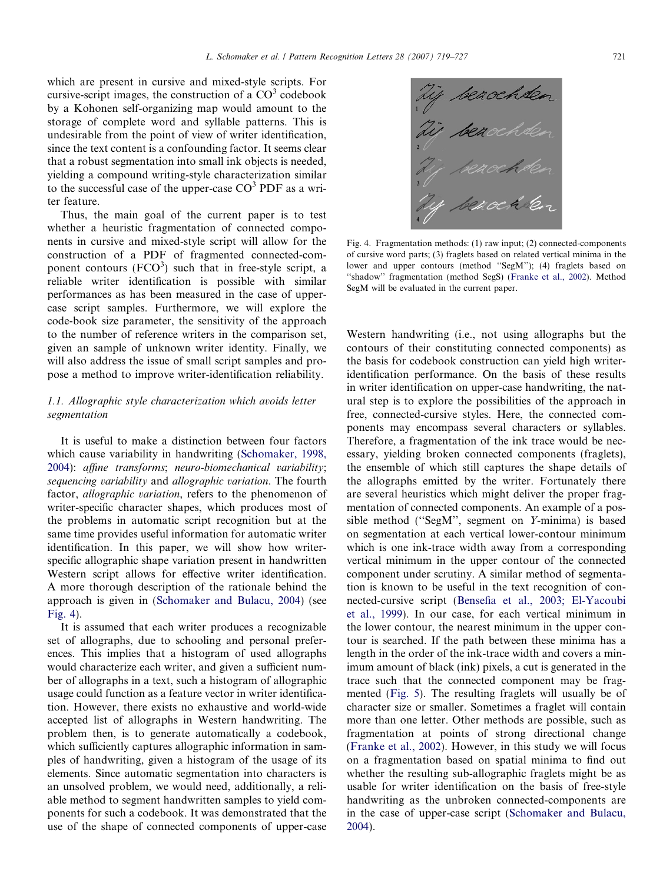which are present in cursive and mixed-style scripts. For cursive-script images, the construction of a  $CO<sup>3</sup>$  codebook by a Kohonen self-organizing map would amount to the storage of complete word and syllable patterns. This is undesirable from the point of view of writer identification, since the text content is a confounding factor. It seems clear that a robust segmentation into small ink objects is needed, yielding a compound writing-style characterization similar to the successful case of the upper-case  $CO<sup>3</sup>$  PDF as a writer feature.

Thus, the main goal of the current paper is to test whether a heuristic fragmentation of connected components in cursive and mixed-style script will allow for the construction of a PDF of fragmented connected-component contours  $(FCO<sup>3</sup>)$  such that in free-style script, a reliable writer identification is possible with similar performances as has been measured in the case of uppercase script samples. Furthermore, we will explore the code-book size parameter, the sensitivity of the approach to the number of reference writers in the comparison set, given an sample of unknown writer identity. Finally, we will also address the issue of small script samples and propose a method to improve writer-identification reliability.

## 1.1. Allographic style characterization which avoids letter segmentation

It is useful to make a distinction between four factors which cause variability in handwriting ([Schomaker, 1998,](#page-7-0) [2004](#page-7-0)): affine transforms; neuro-biomechanical variability; sequencing variability and allographic variation. The fourth factor, allographic variation, refers to the phenomenon of writer-specific character shapes, which produces most of the problems in automatic script recognition but at the same time provides useful information for automatic writer identification. In this paper, we will show how writerspecific allographic shape variation present in handwritten Western script allows for effective writer identification. A more thorough description of the rationale behind the approach is given in ([Schomaker and Bulacu, 2004](#page-7-0)) (see Fig. 4).

It is assumed that each writer produces a recognizable set of allographs, due to schooling and personal preferences. This implies that a histogram of used allographs would characterize each writer, and given a sufficient number of allographs in a text, such a histogram of allographic usage could function as a feature vector in writer identification. However, there exists no exhaustive and world-wide accepted list of allographs in Western handwriting. The problem then, is to generate automatically a codebook, which sufficiently captures allographic information in samples of handwriting, given a histogram of the usage of its elements. Since automatic segmentation into characters is an unsolved problem, we would need, additionally, a reliable method to segment handwritten samples to yield components for such a codebook. It was demonstrated that the use of the shape of connected components of upper-case

Fig. 4. Fragmentation methods: (1) raw input; (2) connected-components of cursive word parts; (3) fraglets based on related vertical minima in the lower and upper contours (method ''SegM''); (4) fraglets based on ''shadow'' fragmentation (method SegS) ([Franke et al., 2002\)](#page-7-0). Method SegM will be evaluated in the current paper.

Western handwriting (i.e., not using allographs but the contours of their constituting connected components) as the basis for codebook construction can yield high writeridentification performance. On the basis of these results in writer identification on upper-case handwriting, the natural step is to explore the possibilities of the approach in free, connected-cursive styles. Here, the connected components may encompass several characters or syllables. Therefore, a fragmentation of the ink trace would be necessary, yielding broken connected components (fraglets), the ensemble of which still captures the shape details of the allographs emitted by the writer. Fortunately there are several heuristics which might deliver the proper fragmentation of connected components. An example of a possible method (''SegM'', segment on Y-minima) is based on segmentation at each vertical lower-contour minimum which is one ink-trace width away from a corresponding vertical minimum in the upper contour of the connected component under scrutiny. A similar method of segmentation is known to be useful in the text recognition of connected-cursive script ([Bensefia et al., 2003; El-Yacoubi](#page-7-0) [et al., 1999\)](#page-7-0). In our case, for each vertical minimum in the lower contour, the nearest minimum in the upper contour is searched. If the path between these minima has a length in the order of the ink-trace width and covers a minimum amount of black (ink) pixels, a cut is generated in the trace such that the connected component may be fragmented ([Fig. 5\)](#page-3-0). The resulting fraglets will usually be of character size or smaller. Sometimes a fraglet will contain more than one letter. Other methods are possible, such as fragmentation at points of strong directional change ([Franke et al., 2002](#page-7-0)). However, in this study we will focus on a fragmentation based on spatial minima to find out whether the resulting sub-allographic fraglets might be as usable for writer identification on the basis of free-style handwriting as the unbroken connected-components are in the case of upper-case script ([Schomaker and Bulacu,](#page-7-0) [2004](#page-7-0)).

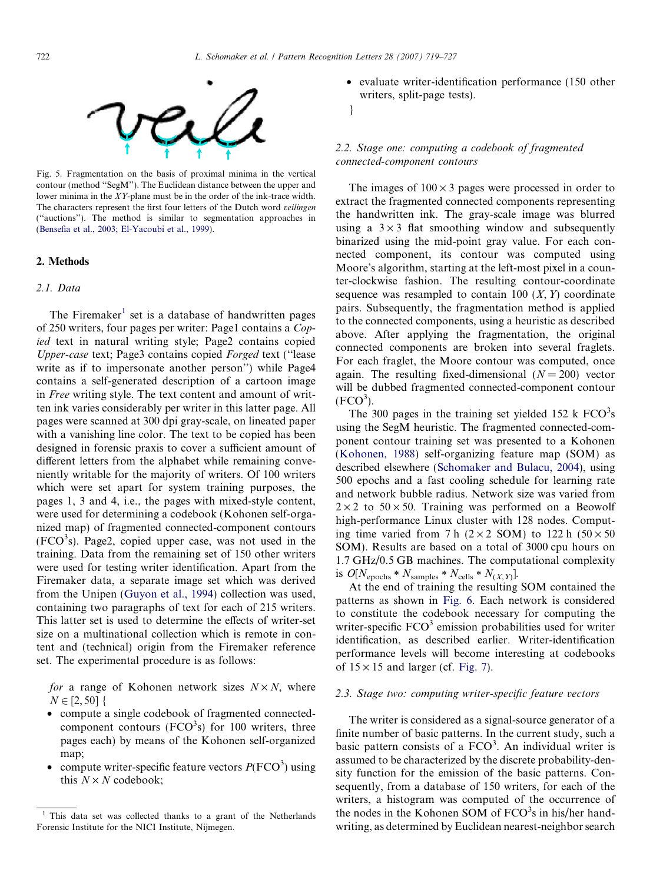<span id="page-3-0"></span>

Fig. 5. Fragmentation on the basis of proximal minima in the vertical contour (method ''SegM''). The Euclidean distance between the upper and lower minima in the XY-plane must be in the order of the ink-trace width. The characters represent the first four letters of the Dutch word veilingen (''auctions''). The method is similar to segmentation approaches in [\(Bensefia et al., 2003; El-Yacoubi et al., 1999](#page-7-0)).

## 2. Methods

#### 2.1. Data

The Firemaker<sup>1</sup> set is a database of handwritten pages of 250 writers, four pages per writer: Page1 contains a Copied text in natural writing style; Page2 contains copied Upper-case text; Page3 contains copied Forged text (''lease write as if to impersonate another person'') while Page4 contains a self-generated description of a cartoon image in Free writing style. The text content and amount of written ink varies considerably per writer in this latter page. All pages were scanned at 300 dpi gray-scale, on lineated paper with a vanishing line color. The text to be copied has been designed in forensic praxis to cover a sufficient amount of different letters from the alphabet while remaining conveniently writable for the majority of writers. Of 100 writers which were set apart for system training purposes, the pages 1, 3 and 4, i.e., the pages with mixed-style content, were used for determining a codebook (Kohonen self-organized map) of fragmented connected-component contours (FCO<sup>3</sup>s). Page2, copied upper case, was not used in the training. Data from the remaining set of 150 other writers were used for testing writer identification. Apart from the Firemaker data, a separate image set which was derived from the Unipen ([Guyon et al., 1994\)](#page-7-0) collection was used, containing two paragraphs of text for each of 215 writers. This latter set is used to determine the effects of writer-set size on a multinational collection which is remote in content and (technical) origin from the Firemaker reference set. The experimental procedure is as follows:

for a range of Kohonen network sizes  $N \times N$ , where  $N \in [2, 50]$  {

- compute a single codebook of fragmented connectedcomponent contours ( $FCO<sup>3</sup>$ s) for 100 writers, three pages each) by means of the Kohonen self-organized man:
- compute writer-specific feature vectors  $P(\text{FCO}^3)$  using this  $N \times N$  codebook:
- evaluate writer-identification performance (150 other writers, split-page tests).
- }

## 2.2. Stage one: computing a codebook of fragmented connected-component contours

The images of  $100 \times 3$  pages were processed in order to extract the fragmented connected components representing the handwritten ink. The gray-scale image was blurred using a  $3 \times 3$  flat smoothing window and subsequently binarized using the mid-point gray value. For each connected component, its contour was computed using Moore's algorithm, starting at the left-most pixel in a counter-clockwise fashion. The resulting contour-coordinate sequence was resampled to contain 100  $(X, Y)$  coordinate pairs. Subsequently, the fragmentation method is applied to the connected components, using a heuristic as described above. After applying the fragmentation, the original connected components are broken into several fraglets. For each fraglet, the Moore contour was computed, once again. The resulting fixed-dimensional  $(N = 200)$  vector will be dubbed fragmented connected-component contour  $(FCO<sup>3</sup>)$ .

The 300 pages in the training set yielded 152 k  $FCO<sup>3</sup>$ s using the SegM heuristic. The fragmented connected-component contour training set was presented to a Kohonen [\(Kohonen, 1988](#page-7-0)) self-organizing feature map (SOM) as described elsewhere [\(Schomaker and Bulacu, 2004](#page-7-0)), using 500 epochs and a fast cooling schedule for learning rate and network bubble radius. Network size was varied from  $2 \times 2$  to  $50 \times 50$ . Training was performed on a Beowolf high-performance Linux cluster with 128 nodes. Computing time varied from 7 h  $(2 \times 2 \text{ SOM})$  to 122 h  $(50 \times 50$ SOM). Results are based on a total of 3000 cpu hours on 1.7 GHz/0.5 GB machines. The computational complexity is  $O[N_{\text{epochs}} * N_{\text{samples}} * N_{\text{cells}} * N_{(X,Y)}].$ 

At the end of training the resulting SOM contained the patterns as shown in [Fig. 6](#page-4-0). Each network is considered to constitute the codebook necessary for computing the writer-specific  $FCO<sup>3</sup>$  emission probabilities used for writer identification, as described earlier. Writer-identification performance levels will become interesting at codebooks of  $15 \times 15$  and larger (cf. [Fig. 7](#page-4-0)).

### 2.3. Stage two: computing writer-specific feature vectors

The writer is considered as a signal-source generator of a finite number of basic patterns. In the current study, such a basic pattern consists of a FCO<sup>3</sup>. An individual writer is assumed to be characterized by the discrete probability-density function for the emission of the basic patterns. Consequently, from a database of 150 writers, for each of the writers, a histogram was computed of the occurrence of the nodes in the Kohonen SOM of FCO<sup>3</sup>s in his/her handwriting, as determined by Euclidean nearest-neighbor search

<sup>&</sup>lt;sup>1</sup> This data set was collected thanks to a grant of the Netherlands Forensic Institute for the NICI Institute, Nijmegen.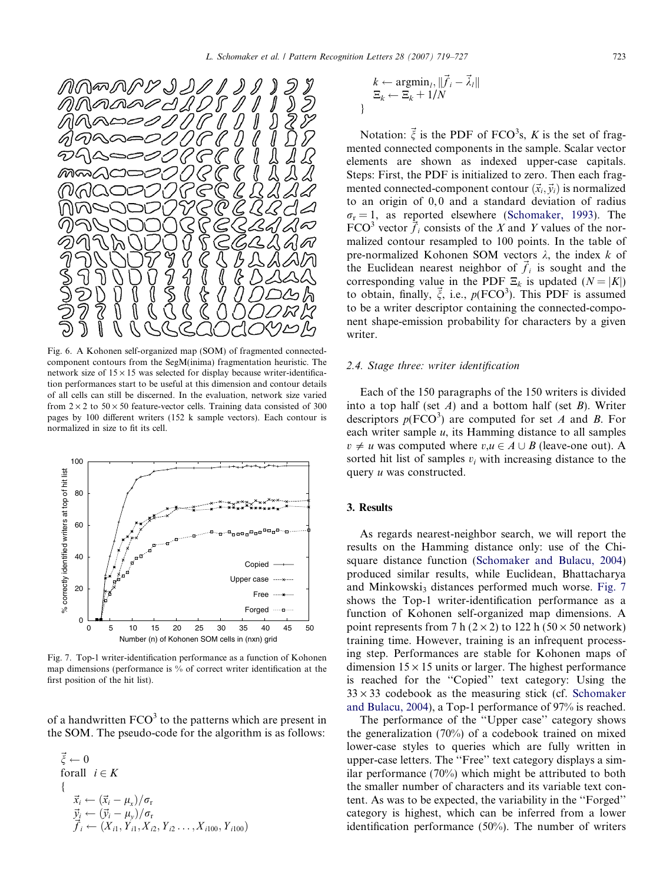}

<span id="page-4-0"></span>

Fig. 6. A Kohonen self-organized map (SOM) of fragmented connectedcomponent contours from the SegM(inima) fragmentation heuristic. The network size of  $15 \times 15$  was selected for display because writer-identification performances start to be useful at this dimension and contour details of all cells can still be discerned. In the evaluation, network size varied from  $2 \times 2$  to  $50 \times 50$  feature-vector cells. Training data consisted of 300 pages by 100 different writers (152 k sample vectors). Each contour is normalized in size to fit its cell.



Fig. 7. Top-1 writer-identification performance as a function of Kohonen map dimensions (performance is % of correct writer identification at the first position of the hit list).

of a handwritten  $FCO<sup>3</sup>$  to the patterns which are present in the SOM. The pseudo-code for the algorithm is as follows:

$$
\vec{\xi} \leftarrow 0
$$
  
\nforall  $i \in K$   
\n  
\n
$$
\vec{x}_i \leftarrow (\vec{x}_i - \mu_x)/\sigma_r
$$
  
\n
$$
\vec{y}_i \leftarrow (\vec{y}_i - \mu_y)/\sigma_r
$$
  
\n
$$
\vec{f}_i \leftarrow (X_{i1}, Y_{i1}, X_{i2}, Y_{i2}, \dots, X_{i100}, Y_{i100})
$$

$$
k \leftarrow \underset{\Xi_k}{\text{argmin}} \, |\vec{f}_i - \vec{\lambda}_l||
$$

$$
\Xi_k \leftarrow \Xi_k + 1/N
$$

Notation:  $\vec{\xi}$  is the PDF of FCO<sup>3</sup>s, K is the set of fragmented connected components in the sample. Scalar vector elements are shown as indexed upper-case capitals. Steps: First, the PDF is initialized to zero. Then each fragmented connected-component contour  $(\vec{x}_i, \vec{y}_i)$  is normalized to an origin of 0,0 and a standard deviation of radius  $\sigma_r = 1$ , as reported elsewhere [\(Schomaker, 1993](#page-7-0)). The FCO<sup>3</sup> vector  $\vec{f}_i$  consists of the X and Y values of the normalized contour resampled to 100 points. In the table of pre-normalized Kohonen SOM vectors  $\lambda$ , the index k of the Euclidean nearest neighbor of  $\vec{f}_i$  is sought and the corresponding value in the PDF  $\Xi_k$  is updated  $(N = |K|)$ to obtain, finally,  $\vec{\xi}$ , i.e.,  $p(FCO^3)$ . This PDF is assumed to be a writer descriptor containing the connected-component shape-emission probability for characters by a given writer.

#### 2.4. Stage three: writer identification

Each of the 150 paragraphs of the 150 writers is divided into a top half (set  $A$ ) and a bottom half (set  $B$ ). Writer descriptors  $p(FCO^3)$  are computed for set A and B. For each writer sample  $u$ , its Hamming distance to all samples  $v \neq u$  was computed where  $v, u \in A \cup B$  (leave-one out). A sorted hit list of samples  $v_i$  with increasing distance to the query u was constructed.

### 3. Results

As regards nearest-neighbor search, we will report the results on the Hamming distance only: use of the Chisquare distance function [\(Schomaker and Bulacu, 2004](#page-7-0)) produced similar results, while Euclidean, Bhattacharya and Minkowski<sub>3</sub> distances performed much worse. Fig. 7 shows the Top-1 writer-identification performance as a function of Kohonen self-organized map dimensions. A point represents from 7 h  $(2 \times 2)$  to 122 h  $(50 \times 50$  network) training time. However, training is an infrequent processing step. Performances are stable for Kohonen maps of dimension  $15 \times 15$  units or larger. The highest performance is reached for the ''Copied'' text category: Using the  $33 \times 33$  codebook as the measuring stick (cf. [Schomaker](#page-7-0) [and Bulacu, 2004\)](#page-7-0), a Top-1 performance of 97% is reached.

The performance of the ''Upper case'' category shows the generalization (70%) of a codebook trained on mixed lower-case styles to queries which are fully written in upper-case letters. The ''Free'' text category displays a similar performance (70%) which might be attributed to both the smaller number of characters and its variable text content. As was to be expected, the variability in the ''Forged'' category is highest, which can be inferred from a lower identification performance (50%). The number of writers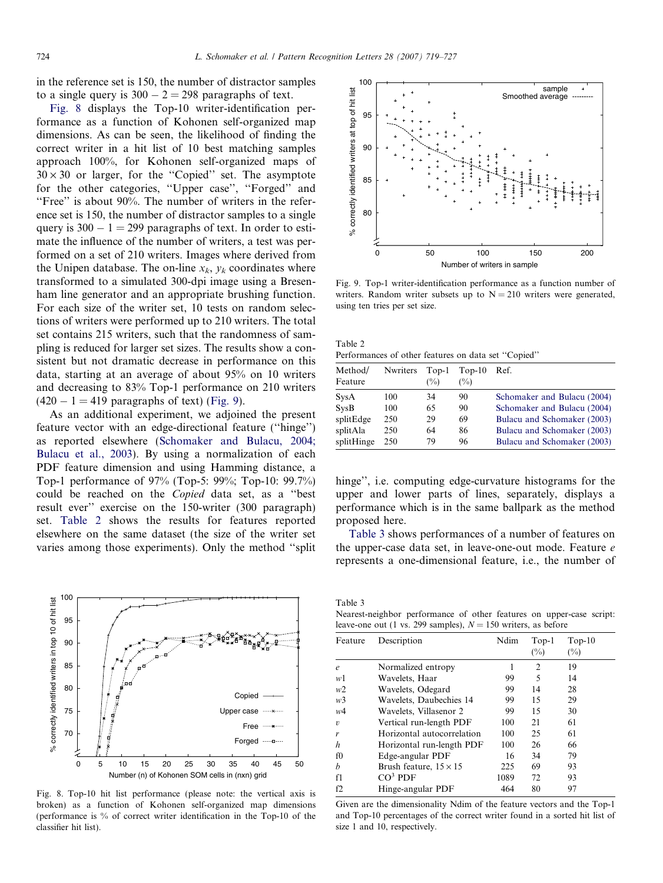<span id="page-5-0"></span>in the reference set is 150, the number of distractor samples to a single query is  $300 - 2 = 298$  paragraphs of text.

Fig. 8 displays the Top-10 writer-identification performance as a function of Kohonen self-organized map dimensions. As can be seen, the likelihood of finding the correct writer in a hit list of 10 best matching samples approach 100%, for Kohonen self-organized maps of  $30 \times 30$  or larger, for the "Copied" set. The asymptote for the other categories, ''Upper case'', ''Forged'' and ''Free'' is about 90%. The number of writers in the reference set is 150, the number of distractor samples to a single query is  $300 - 1 = 299$  paragraphs of text. In order to estimate the influence of the number of writers, a test was performed on a set of 210 writers. Images where derived from the Unipen database. The on-line  $x_k$ ,  $y_k$  coordinates where transformed to a simulated 300-dpi image using a Bresenham line generator and an appropriate brushing function. For each size of the writer set, 10 tests on random selections of writers were performed up to 210 writers. The total set contains 215 writers, such that the randomness of sampling is reduced for larger set sizes. The results show a consistent but not dramatic decrease in performance on this data, starting at an average of about 95% on 10 writers and decreasing to 83% Top-1 performance on 210 writers  $(420 - 1 = 419$  paragraphs of text) (Fig. 9).

As an additional experiment, we adjoined the present feature vector with an edge-directional feature (''hinge'') as reported elsewhere [\(Schomaker and Bulacu, 2004;](#page-7-0) [Bulacu et al., 2003\)](#page-7-0). By using a normalization of each PDF feature dimension and using Hamming distance, a Top-1 performance of 97% (Top-5: 99%; Top-10: 99.7%) could be reached on the Copied data set, as a ''best result ever'' exercise on the 150-writer (300 paragraph) set. Table 2 shows the results for features reported elsewhere on the same dataset (the size of the writer set varies among those experiments). Only the method ''split



Fig. 8. Top-10 hit list performance (please note: the vertical axis is broken) as a function of Kohonen self-organized map dimensions (performance is % of correct writer identification in the Top-10 of the classifier hit list).



Fig. 9. Top-1 writer-identification performance as a function number of writers. Random writer subsets up to  $N = 210$  writers were generated, using ten tries per set size.

Table 2 Performances of other features on data set ''Copied''

| Method/<br>Feature | Nwriters | $Top-1$<br>$(\%)$ | $Top-10$<br>$\frac{1}{2}$ | Ref.                        |
|--------------------|----------|-------------------|---------------------------|-----------------------------|
| SysA               | 100      | 34                | 90                        | Schomaker and Bulacu (2004) |
| SvSB               | 100      | 65                | 90                        | Schomaker and Bulacu (2004) |
| splitEdge          | 250      | 29                | 69                        | Bulacu and Schomaker (2003) |
| splitAla           | 250      | 64                | 86                        | Bulacu and Schomaker (2003) |
| splitHinge         | 250      | 79                | 96                        | Bulacu and Schomaker (2003) |

hinge'', i.e. computing edge-curvature histograms for the upper and lower parts of lines, separately, displays a performance which is in the same ballpark as the method proposed here.

Table 3 shows performances of a number of features on the upper-case data set, in leave-one-out mode. Feature  $e$ represents a one-dimensional feature, i.e., the number of

Table 3

Nearest-neighbor performance of other features on upper-case script: leave-one out (1 vs. 299 samples),  $N = 150$  writers, as before

| Feature             | Description                   | Ndim | Top-1          | $Top-10$ |
|---------------------|-------------------------------|------|----------------|----------|
|                     |                               |      | $(\%)$         | $(\%)$   |
| $\ell$              | Normalized entropy            |      | $\overline{2}$ | 19       |
| w1                  | Wavelets, Haar                | 99   | 5              | 14       |
| w <sub>2</sub>      | Wavelets, Odegard             | 99   | 14             | 28       |
| w3                  | Wavelets, Daubechies 14       | 99   | 15             | 29       |
| w4                  | Wavelets, Villasenor 2        | 99   | 15             | 30       |
| $\boldsymbol{\eta}$ | Vertical run-length PDF       | 100  | 21             | 61       |
| r                   | Horizontal autocorrelation    | 100  | 25             | 61       |
| h                   | Horizontal run-length PDF     | 100  | 26             | 66       |
| fO                  | Edge-angular PDF              | 16   | 34             | 79       |
| h                   | Brush feature, $15 \times 15$ | 225  | 69             | 93       |
| f1                  | $CO3$ PDF                     | 1089 | 72             | 93       |
| f2                  | Hinge-angular PDF             | 464  | 80             | 97       |

Given are the dimensionality Ndim of the feature vectors and the Top-1 and Top-10 percentages of the correct writer found in a sorted hit list of size 1 and 10, respectively.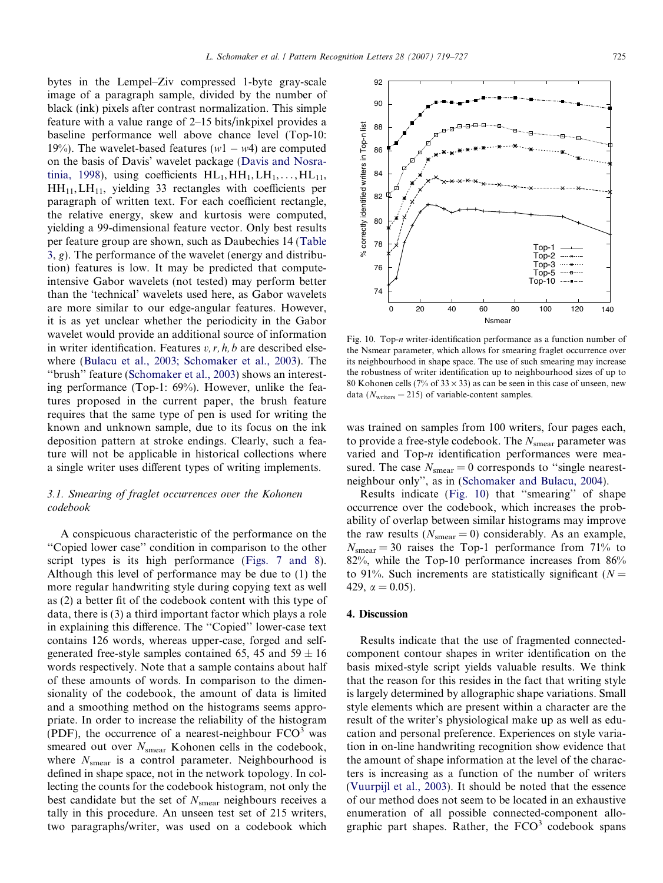bytes in the Lempel–Ziv compressed 1-byte gray-scale image of a paragraph sample, divided by the number of black (ink) pixels after contrast normalization. This simple feature with a value range of 2–15 bits/inkpixel provides a baseline performance well above chance level (Top-10: 19%). The wavelet-based features  $(w1 - w4)$  are computed on the basis of Davis' wavelet package ([Davis and Nosra](#page-7-0)[tinia, 1998](#page-7-0)), using coefficients  $HL_1, HH_1, LH_1, \ldots, HL_{11}$ ,  $HH_{11}$ , LH<sub>11</sub>, yielding 33 rectangles with coefficients per paragraph of written text. For each coefficient rectangle, the relative energy, skew and kurtosis were computed, yielding a 99-dimensional feature vector. Only best results per feature group are shown, such as Daubechies 14 [\(Table](#page-5-0) [3,](#page-5-0) g). The performance of the wavelet (energy and distribution) features is low. It may be predicted that computeintensive Gabor wavelets (not tested) may perform better than the 'technical' wavelets used here, as Gabor wavelets are more similar to our edge-angular features. However, it is as yet unclear whether the periodicity in the Gabor wavelet would provide an additional source of information in writer identification. Features  $v, r, h, b$  are described elsewhere [\(Bulacu et al., 2003; Schomaker et al., 2003\)](#page-7-0). The ''brush'' feature ([Schomaker et al., 2003\)](#page-8-0) shows an interesting performance (Top-1: 69%). However, unlike the features proposed in the current paper, the brush feature requires that the same type of pen is used for writing the known and unknown sample, due to its focus on the ink deposition pattern at stroke endings. Clearly, such a feature will not be applicable in historical collections where a single writer uses different types of writing implements.

## 3.1. Smearing of fraglet occurrences over the Kohonen codebook

A conspicuous characteristic of the performance on the ''Copied lower case'' condition in comparison to the other script types is its high performance ([Figs. 7 and 8\)](#page-4-0). Although this level of performance may be due to (1) the more regular handwriting style during copying text as well as (2) a better fit of the codebook content with this type of data, there is (3) a third important factor which plays a role in explaining this difference. The ''Copied'' lower-case text contains 126 words, whereas upper-case, forged and selfgenerated free-style samples contained 65, 45 and 59  $\pm$  16 words respectively. Note that a sample contains about half of these amounts of words. In comparison to the dimensionality of the codebook, the amount of data is limited and a smoothing method on the histograms seems appropriate. In order to increase the reliability of the histogram (PDF), the occurrence of a nearest-neighbour  $FCO<sup>3</sup>$  was smeared out over  $N_{\text{smear}}$  Kohonen cells in the codebook, where  $N_{\text{smear}}$  is a control parameter. Neighbourhood is defined in shape space, not in the network topology. In collecting the counts for the codebook histogram, not only the best candidate but the set of  $N_{\text{smear}}$  neighbours receives a tally in this procedure. An unseen test set of 215 writers, two paragraphs/writer, was used on a codebook which Fig. 10. Top-n writer-identification performance as a function number of the Nsmear parameter, which allows for smearing fraglet occurrence over its neighbourhood in shape space. The use of such smearing may increase the robustness of writer identification up to neighbourhood sizes of up to 80 Kohonen cells (7% of  $33 \times 33$ ) as can be seen in this case of unseen, new data ( $N_{\text{writes}} = 215$ ) of variable-content samples.

was trained on samples from 100 writers, four pages each, to provide a free-style codebook. The  $N<sub>smear</sub>$  parameter was varied and Top-n identification performances were measured. The case  $N_{\text{smear}} = 0$  corresponds to "single nearestneighbour only'', as in [\(Schomaker and Bulacu, 2004\)](#page-7-0).

Results indicate (Fig. 10) that ''smearing'' of shape occurrence over the codebook, which increases the probability of overlap between similar histograms may improve the raw results ( $N_{\text{smear}} = 0$ ) considerably. As an example,  $N_{\text{smear}} = 30$  raises the Top-1 performance from 71% to 82%, while the Top-10 performance increases from 86% to 91%. Such increments are statistically significant ( $N =$ 429,  $\alpha = 0.05$ ).

#### 4. Discussion

Results indicate that the use of fragmented connectedcomponent contour shapes in writer identification on the basis mixed-style script yields valuable results. We think that the reason for this resides in the fact that writing style is largely determined by allographic shape variations. Small style elements which are present within a character are the result of the writer's physiological make up as well as education and personal preference. Experiences on style variation in on-line handwriting recognition show evidence that the amount of shape information at the level of the characters is increasing as a function of the number of writers ([Vuurpijl et al., 2003\)](#page-8-0). It should be noted that the essence of our method does not seem to be located in an exhaustive enumeration of all possible connected-component allographic part shapes. Rather, the  $FCO<sup>3</sup>$  codebook spans



88

ist

 90 92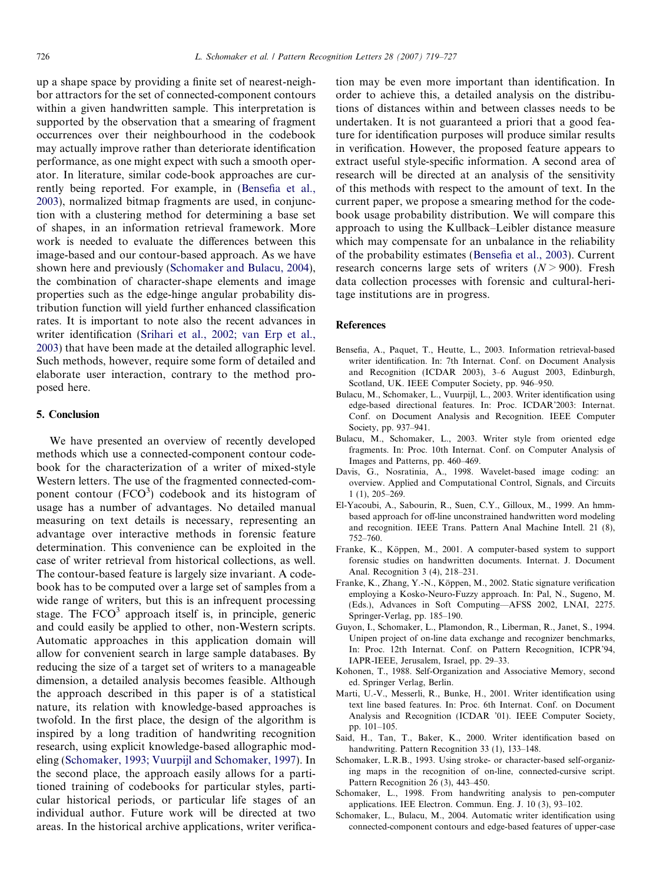<span id="page-7-0"></span>up a shape space by providing a finite set of nearest-neighbor attractors for the set of connected-component contours within a given handwritten sample. This interpretation is supported by the observation that a smearing of fragment occurrences over their neighbourhood in the codebook may actually improve rather than deteriorate identification performance, as one might expect with such a smooth operator. In literature, similar code-book approaches are currently being reported. For example, in (Bensefia et al., 2003), normalized bitmap fragments are used, in conjunction with a clustering method for determining a base set of shapes, in an information retrieval framework. More work is needed to evaluate the differences between this image-based and our contour-based approach. As we have shown here and previously (Schomaker and Bulacu, 2004), the combination of character-shape elements and image properties such as the edge-hinge angular probability distribution function will yield further enhanced classification rates. It is important to note also the recent advances in writer identification ([Srihari et al., 2002; van Erp et al.,](#page-8-0) [2003\)](#page-8-0) that have been made at the detailed allographic level. Such methods, however, require some form of detailed and elaborate user interaction, contrary to the method proposed here.

#### 5. Conclusion

We have presented an overview of recently developed methods which use a connected-component contour codebook for the characterization of a writer of mixed-style Western letters. The use of the fragmented connected-component contour  $(FCO<sup>3</sup>)$  codebook and its histogram of usage has a number of advantages. No detailed manual measuring on text details is necessary, representing an advantage over interactive methods in forensic feature determination. This convenience can be exploited in the case of writer retrieval from historical collections, as well. The contour-based feature is largely size invariant. A codebook has to be computed over a large set of samples from a wide range of writers, but this is an infrequent processing stage. The  $FCO<sup>3</sup>$  approach itself is, in principle, generic and could easily be applied to other, non-Western scripts. Automatic approaches in this application domain will allow for convenient search in large sample databases. By reducing the size of a target set of writers to a manageable dimension, a detailed analysis becomes feasible. Although the approach described in this paper is of a statistical nature, its relation with knowledge-based approaches is twofold. In the first place, the design of the algorithm is inspired by a long tradition of handwriting recognition research, using explicit knowledge-based allographic modeling (Schomaker, 1993; Vuurpijl and Schomaker, 1997). In the second place, the approach easily allows for a partitioned training of codebooks for particular styles, particular historical periods, or particular life stages of an individual author. Future work will be directed at two areas. In the historical archive applications, writer verification may be even more important than identification. In order to achieve this, a detailed analysis on the distributions of distances within and between classes needs to be undertaken. It is not guaranteed a priori that a good feature for identification purposes will produce similar results in verification. However, the proposed feature appears to extract useful style-specific information. A second area of research will be directed at an analysis of the sensitivity of this methods with respect to the amount of text. In the current paper, we propose a smearing method for the codebook usage probability distribution. We will compare this approach to using the Kullback–Leibler distance measure which may compensate for an unbalance in the reliability of the probability estimates (Bensefia et al., 2003). Current research concerns large sets of writers  $(N > 900)$ . Fresh data collection processes with forensic and cultural-heritage institutions are in progress.

#### **References**

- Bensefia, A., Paquet, T., Heutte, L., 2003. Information retrieval-based writer identification. In: 7th Internat. Conf. on Document Analysis and Recognition (ICDAR 2003), 3–6 August 2003, Edinburgh, Scotland, UK. IEEE Computer Society, pp. 946–950.
- Bulacu, M., Schomaker, L., Vuurpijl, L., 2003. Writer identification using edge-based directional features. In: Proc. ICDAR'2003: Internat. Conf. on Document Analysis and Recognition. IEEE Computer Society, pp. 937–941.
- Bulacu, M., Schomaker, L., 2003. Writer style from oriented edge fragments. In: Proc. 10th Internat. Conf. on Computer Analysis of Images and Patterns, pp. 460–469.
- Davis, G., Nosratinia, A., 1998. Wavelet-based image coding: an overview. Applied and Computational Control, Signals, and Circuits 1 (1), 205–269.
- El-Yacoubi, A., Sabourin, R., Suen, C.Y., Gilloux, M., 1999. An hmmbased approach for off-line unconstrained handwritten word modeling and recognition. IEEE Trans. Pattern Anal Machine Intell. 21 (8), 752–760.
- Franke, K., Köppen, M., 2001. A computer-based system to support forensic studies on handwritten documents. Internat. J. Document Anal. Recognition 3 (4), 218–231.
- Franke, K., Zhang, Y.-N., Köppen, M., 2002. Static signature verification employing a Kosko-Neuro-Fuzzy approach. In: Pal, N., Sugeno, M. (Eds.), Advances in Soft Computing—AFSS 2002, LNAI, 2275. Springer-Verlag, pp. 185–190.
- Guyon, I., Schomaker, L., Plamondon, R., Liberman, R., Janet, S., 1994. Unipen project of on-line data exchange and recognizer benchmarks, In: Proc. 12th Internat. Conf. on Pattern Recognition, ICPR'94, IAPR-IEEE, Jerusalem, Israel, pp. 29–33.
- Kohonen, T., 1988. Self-Organization and Associative Memory, second ed. Springer Verlag, Berlin.
- Marti, U.-V., Messerli, R., Bunke, H., 2001. Writer identification using text line based features. In: Proc. 6th Internat. Conf. on Document Analysis and Recognition (ICDAR '01). IEEE Computer Society, pp. 101–105.
- Said, H., Tan, T., Baker, K., 2000. Writer identification based on handwriting. Pattern Recognition 33 (1), 133–148.
- Schomaker, L.R.B., 1993. Using stroke- or character-based self-organizing maps in the recognition of on-line, connected-cursive script. Pattern Recognition 26 (3), 443–450.
- Schomaker, L., 1998. From handwriting analysis to pen-computer applications. IEE Electron. Commun. Eng. J. 10 (3), 93–102.
- Schomaker, L., Bulacu, M., 2004. Automatic writer identification using connected-component contours and edge-based features of upper-case